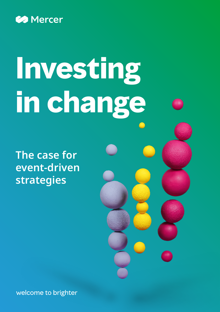

# **Investing in change**

**The case for event-driven strategies**

welcome to brighter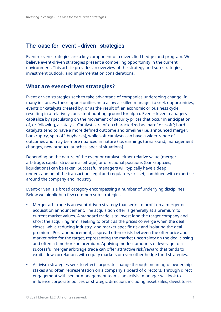# The case for event - driven strategies

Event-driven strategies are a key component of a diversified hedge fund program. We believe event-driven strategies present a compelling opportunity in the current environment. This article provides an overview of the strategy and sub-strategies, investment outlook, and implementation considerations.

### **What are event-driven strategies?**

Event-driven strategies seek to take advantage of companies undergoing change. In many instances, these opportunities help allow a skilled manager to seek opportunities, events or catalysts created by, or as the result of, an economic or business cycle, resulting in a relatively consistent hunting ground for alpha. Event-driven managers capitalize by speculating on the movement of security prices that occur in anticipation of, or following, a catalyst. Catalysts are often characterized as 'hard' or 'soft'; hard catalysts tend to have a more defined outcome and timeline (i.e. announced merger, bankruptcy, spin-off, buybacks), while soft catalysts can have a wider range of outcomes and may be more nuanced in nature (i.e. earnings turnaround, management changes, new product launches, special situations).

Depending on the nature of the event or catalyst, either relative value (merger arbitrage, capital structure arbitrage) or directional positions (bankruptcies, liquidations) can be taken. Successful managers will typically have a deep understanding of the transaction, legal and regulatory skillset, combined with expertise around the company and industry.

Event-driven is a broad category encompassing a number of underlying disciplines. Below we highlight a few common sub-strategies:

- Merger arbitrage is an event-driven strategy that seeks to profit on a merger or acquisition announcement. The acquisition offer is generally at a premium to current market values. A standard trade is to invest long the target company and short the acquiring firm, seeking to profit as the prices converge when the deal closes, while reducing industry- and market-specific risk and isolating the deal premium. Post announcement, a spread often exists between the offer price and market price for the target, representing the market uncertainty on the deal closing and often a time-horizon premium. Applying modest amounts of leverage to a successful merger arbitrage trade can offer attractive risk/reward that tends to exhibit low correlations with equity markets or even other hedge fund strategies.
- Activism strategies seek to effect corporate change through meaningful ownership stakes and often representation on a company's board of directors. Through direct engagement with senior management teams, an activist manager will look to influence corporate polices or strategic direction, including asset sales, divestitures,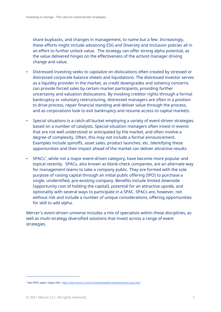share buybacks, and changes in management, to name but a few. Increasingly, these efforts might include advancing ESG and Diversity and Inclusion policies all in an effort to further unlock value. The strategy can offer strong alpha potential, as the value delivered hinges on the effectiveness of the activist manager driving change and value.

- Distressed investing seeks to capitalize on dislocations often created by stressed or distressed corporate balance sheets and liquidations. The distressed investor serves as a liquidity provider in the market, as credit downgrades and solvency concerns can provide forced sales by certain market participants, providing further uncertainty and valuation dislocations. By invoking creditor rights through a formal bankruptcy or voluntary restructuring, distressed managers are often in a position to drive process, repair financial standing and deliver value through the process, and as corporations look to exit bankruptcy and resume access to capital markets.
- Special situations is a catch-all bucket employing a variety of event-driven strategies based on a number of catalysts. Special-situation managers often invest in events that are not well understood or anticipated by the market, and often involve a degree of complexity. Often, this may not include a formal announcement. Examples include spinoffs, asset sales, product launches, etc. Identifying these opportunities and their impact ahead of the market can deliver attractive results.
- [SPACs](https://www.mercer.com/our-thinking/wealth/understanding-the-spac.html)<sup>[1](#page-2-0)</sup>, while not a major event-driven category, have become more popular and topical recently. SPACs, also known as blank-check companies, are an alternate way for management teams to take a company public. They are formed with the sole purpose of raising capital through an initial public offering (IPO) to purchase a single, unidentified, pre-existing company. Benefits include limited downside (opportunity cost of holding the capital), potential for an attractive upside, and optionality with several ways to participate in a SPAC. SPACs are, however, not without risk and include a number of unique considerations, offering opportunities for skill to add alpha.

Mercer's event-driven universe includes a mix of specialists within these disciplines, as well as multi-strategy diversified solutions that invest across a range of event strategies.

 $\overline{a}$ 

<span id="page-2-0"></span><sup>1</sup> See SPAC paper, August 2021:<https://www.mercer.com/our-thinking/wealth/understanding-the-spac.html>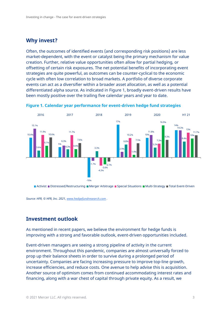### **Why invest?**

Often, the outcomes of identified events (and corresponding risk positions) are less market-dependent, with the event or catalyst being the primary mechanism for value creation. Further, relative value opportunities often allow for partial hedging, or offsetting of certain risk exposures. The net potential benefits of incorporating event strategies are quite powerful, as outcomes can be counter-cyclical to the economic cycle with often low correlation to broad markets. A portfolio of diverse corporate events can act as a diversifier within a broader asset allocation, as well as a potential differentiated alpha source. As indicated in Figure 1, broadly event-driven results have been mostly positive over the trailing five calendar years and year to date.



**Figure 1. Calendar year performance for event-driven hedge fund strategies**

Activist Distressed/Restructuring Merger Arbitrage Special Situations Multi-Strategy Total Event-Driven

*Source: HFR, © HFR, Inc. 2021, [www.hedgefundresearch.com](http://www.hedgefundresearch.com/) .*

### **Investment outlook**

As mentioned in recent papers, we believe the environment for hedge funds is improving with a strong and favorable outlook, event-driven opportunities included.

Event-driven managers are seeing a strong pipeline of activity in the current environment. Throughout this pandemic, companies are almost universally forced to prop up their balance sheets in order to survive during a prolonged period of uncertainty. Companies are facing increasing pressure to improve top-line growth, increase efficiencies, and reduce costs. One avenue to help advise this is acquisition. Another source of optimism comes from continued accommodating interest rates and financing, along with a war chest of capital through private equity. As a result, we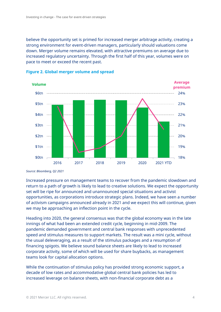believe the opportunity set is primed for increased merger arbitrage activity, creating a strong environment for event-driven managers, particularly should valuations come down. Merger volume remains elevated, with attractive premiums on average due to increased regulatory uncertainty. Through the first half of this year, volumes were on pace to meet or exceed the recent past.





Increased pressure on management teams to recover from the pandemic slowdown and return to a path of growth is likely to lead to creative solutions. We expect the opportunity set will be ripe for announced and unannounced special situations and activist opportunities, as corporations introduce strategic plans. Indeed, we have seen a number of activism campaigns announced already in 2021 and we expect this will continue, given we may be approaching an inflection point in the cycle.

Heading into 2020, the general consensus was that the global economy was in the late innings of what had been an extended credit cycle, beginning in mid-2009. The pandemic demanded government and central bank responses with unprecedented speed and stimulus measures to support markets. The result was a mini cycle, without the usual deleveraging, as a result of the stimulus packages and a resumption of financing spigots. We believe sound balance sheets are likely to lead to increased corporate activity, some of which will be used for share buybacks, as management teams look for capital allocation options.

While the continuation of stimulus policy has provided strong economic support, a decade of low rates and accommodative global central bank policies has led to increased leverage on balance sheets, with non-financial corporate debt as a

*Source: Bloomberg, Q2 2021*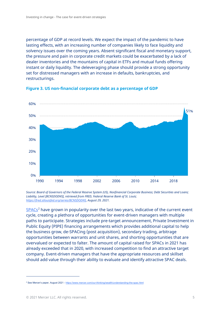percentage of GDP at record levels. We expect the impact of the pandemic to have lasting effects, with an increasing number of companies likely to face liquidity and solvency issues over the coming years. Absent significant fiscal and monetary support, the pressure and pain in corporate credit markets could be exacerbated by a lack of dealer inventories and the mountains of capital in ETFs and mutual funds offering instant or daily liquidity. The deleveraging phase should provide a strong opportunity set for distressed managers with an increase in defaults, bankruptcies, and restructurings.



**Figure 3. US non-financial corporate debt as a percentage of GDP**

*Source: Board of Governors of the Federal Reserve System (US), Nonfinancial Corporate Business; Debt Securities and Loans; Liability, Level [BCNSDODNS], retrieved from FRED, Federal Reserve Bank of St. Louis; [https://fred.stlouisfed.org/series/BCNSDODNS,](https://fred.stlouisfed.org/series/BCNSDODNS) August 29, 2021.*

 $SPACS<sup>2</sup>$  $SPACS<sup>2</sup>$  $SPACS<sup>2</sup>$  have grown in popularity over the last two years, indicative of the current event cycle, creating a plethora of opportunities for event-driven managers with multiple paths to participate. Strategies include pre-target announcement, Private Investment in Public Equity (PIPE) financing arrangements which provides additional capital to help the business grow, de-SPACing (post acquisition), secondary trading, arbitrage opportunities between warrants and unit shares, and shorting opportunities that are overvalued or expected to falter. The amount of capital raised for SPACs in 2021 has already exceeded that in 2020, with increased competition to find an attractive target company. Event-driven managers that have the appropriate resources and skillset should add value through their ability to evaluate and identify attractive SPAC deals.

 $\overline{a}$ 

<span id="page-5-0"></span><sup>&</sup>lt;sup>2</sup> See Mercer's paper, August 2021 - <https://www.mercer.com/our-thinking/wealth/understanding-the-spac.html>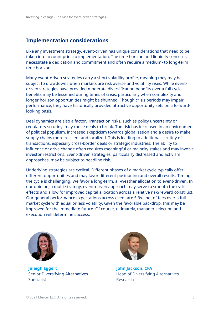# **Implementation considerations**

Like any investment strategy, event-driven has unique considerations that need to be taken into account prior to implementation. The time horizon and liquidity concerns necessitate a dedication and commitment and often require a medium- to long-term time horizon.

Many event-driven strategies carry a short volatility profile, meaning they may be subject to drawdowns when markets are risk averse and volatility rises. While eventdriven strategies have provided moderate diversification benefits over a full cycle, benefits may be lessened during times of crisis, particularly when complexity and longer horizon opportunities might be shunned. Though crisis periods may impair performance, they have historically provided attractive opportunity sets on a forwardlooking basis.

Deal dynamics are also a factor. Transaction risks, such as policy uncertainty or regulatory scrutiny, may cause deals to break. The risk has increased in an environment of political populism, increased skepticism towards globalization and a desire to make supply chains more resilient and localized. This is leading to additional scrutiny of transactions, especially cross-border deals or strategic industries. The ability to influence or drive change often requires meaningful or majority stakes and may involve investor restrictions. Event-driven strategies, particularly distressed and activism approaches, may be subject to headline risk.

Underlying strategies are cyclical. Different phases of a market cycle typically offer different opportunities and may favor different positioning and overall results. Timing the cycle is challenging. We favor a long-term, all-weather allocation to event-driven. In our opinion, a multi-strategy, event-driven approach may serve to smooth the cycle effects and allow for improved capital allocation across a relative risk/reward construct. Our general performance expectations across event are 5-9%, net of fees over a full market cycle with equal or less volatility. Given the favorable backdrop, this may be improved for the immediate future. Of course, ultimately, manager selection and execution will determine success.



**Juleigh Eggert John Jackson, CFA** Specialist **Research** 



Senior Diversifying Alternatives Head of Diversifying Alternatives